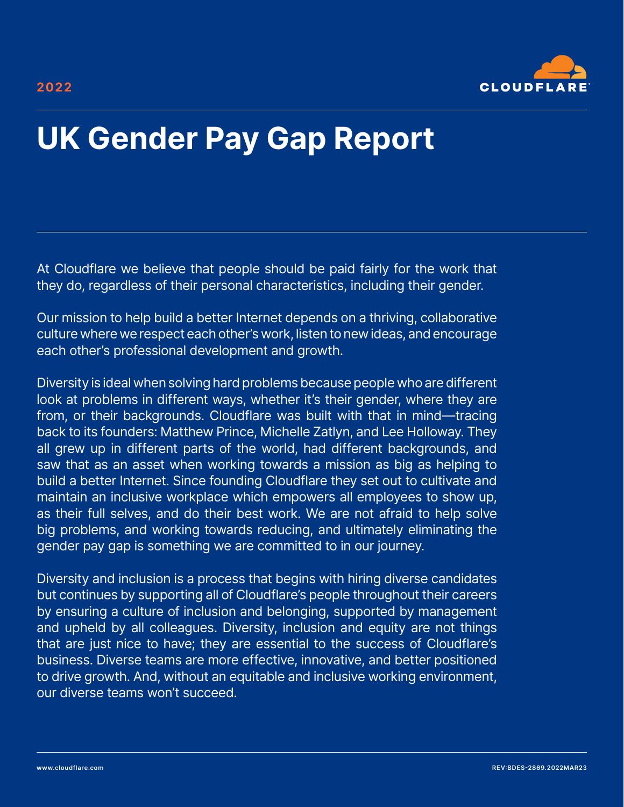

# **UK Gender Pay Gap Report**

At Cloudflare we believe that people should be paid fairly for the work that they do, regardless of their personal characteristics, including their gender.

Our mission to help build a better Internet depends on a thriving, collaborative culture where we respect each other's work, listen to new ideas, and encourage each other's professional development and growth.

Diversity is ideal when solving hard problems because people who are different look at problems in different ways, whether it's their gender, where they are from, or their backgrounds. Cloudflare was built with that in mind—tracing back to its founders: Matthew Prince, Michelle Zatlyn, and Lee Holloway. They all grew up in different parts of the world, had different backgrounds, and saw that as an asset when working towards a mission as big as helping to build a better Internet. Since founding Cloudflare they set out to cultivate and maintain an inclusive workplace which empowers all employees to show up, as their full selves, and do their best work. We are not afraid to help solve big problems, and working towards reducing, and ultimately eliminating the gender pay gap is something we are committed to in our journey.

Diversity and inclusion is a process that begins with hiring diverse candidates but continues by supporting all of Cloudflare's people throughout their careers by ensuring a culture of inclusion and belonging, supported by management and upheld by all colleagues. Diversity, inclusion and equity are not things that are just nice to have; they are essential to the success of Cloudflare's business. Diverse teams are more effective, innovative, and better positioned to drive growth. And, without an equitable and inclusive working environment, our diverse teams won't succeed.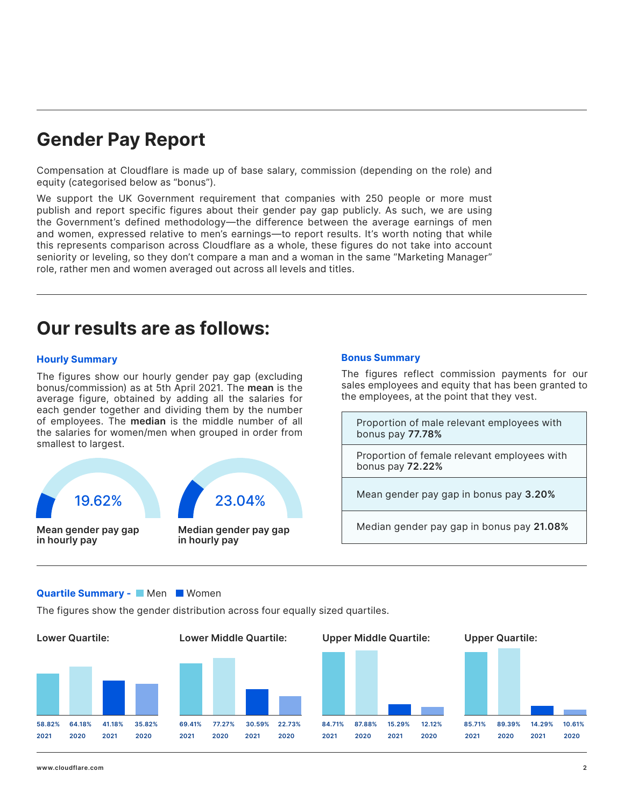### **Gender Pay Report**

Compensation at Cloudflare is made up of base salary, commission (depending on the role) and equity (categorised below as "bonus").

We support the UK Government requirement that companies with 250 people or more must publish and report specific figures about their gender pay gap publicly. As such, we are using the Government's defined methodology—the difference between the average earnings of men and women, expressed relative to men's earnings—to report results. It's worth noting that while this represents comparison across Cloudflare as a whole, these figures do not take into account seniority or leveling, so they don't compare a man and a woman in the same "Marketing Manager" role, rather men and women averaged out across all levels and titles.

### **Our results are as follows:**

#### **Hourly Summary**

The figures show our hourly gender pay gap (excluding bonus/commission) as at 5th April 2021. The **mean** is the average figure, obtained by adding all the salaries for each gender together and dividing them by the number of employees. The **median** is the middle number of all the salaries for women/men when grouped in order from smallest to largest.



### **Quartile Summary - Men Women**

The figures show the gender distribution across four equally sized quartiles.



#### **Bonus Summary**

The figures reflect commission payments for our sales employees and equity that has been granted to the employees, at the point that they vest.

Proportion of male relevant employees with bonus pay **77.78%**

Proportion of female relevant employees with bonus pay **72.22%**

Mean gender pay gap in bonus pay **3.20%**

Median gender pay gap in bonus pay **21.08%**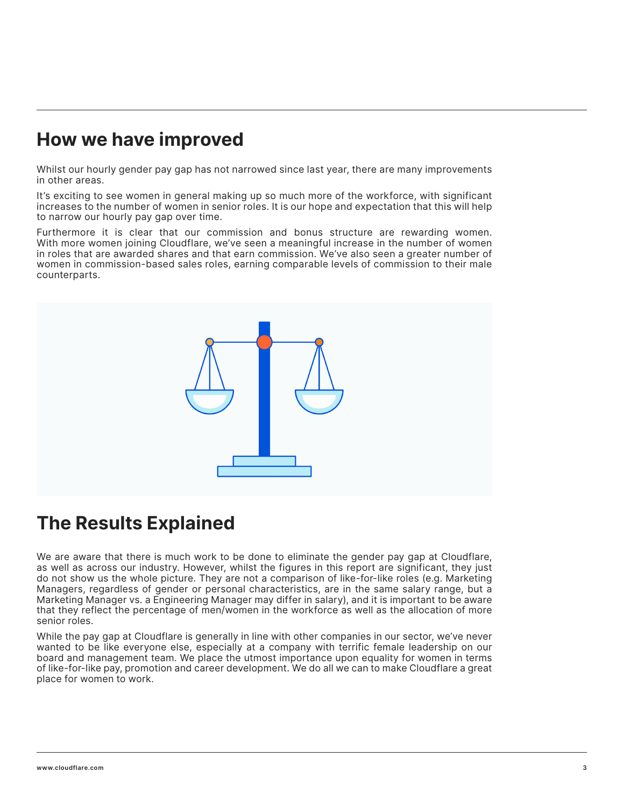## **How we have improved**

Whilst our hourly gender pay gap has not narrowed since last year, there are many improvements in other areas.

It's exciting to see women in general making up so much more of the workforce, with significant increases to the number of women in senior roles. It is our hope and expectation that this will help to narrow our hourly pay gap over time.

Furthermore it is clear that our commission and bonus structure are rewarding women. With more women joining Cloudflare, we've seen a meaningful increase in the number of women in roles that are awarded shares and that earn commission. We've also seen a greater number of women in commission-based sales roles, earning comparable levels of commission to their male counterparts.



### **The Results Explained**

We are aware that there is much work to be done to eliminate the gender pay gap at Cloudflare. as well as across our industry. However, whilst the figures in this report are significant, they just do not show us the whole picture. They are not a comparison of like-for-like roles (e.g. Marketing Managers, regardless of gender or personal characteristics, are in the same salary range, but a Marketing Manager vs. a Engineering Manager may differ in salary), and it is important to be aware that they reflect the percentage of men/women in the workforce as well as the allocation of more senior roles.

While the pay gap at Cloudflare is generally in line with other companies in our sector, we've never wanted to be like everyone else, especially at a company with terrific female leadership on our board and management team. We place the utmost importance upon equality for women in terms of like-for-like pay, promotion and career development. We do all we can to make Cloudflare a great place for women to work.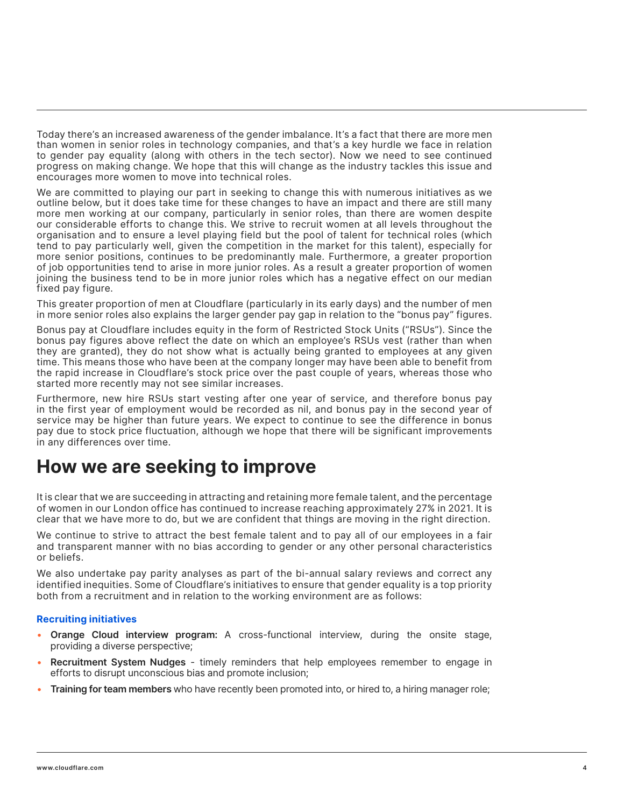Today there's an increased awareness of the gender imbalance. It's a fact that there are more men than women in senior roles in technology companies, and that's a key hurdle we face in relation to gender pay equality (along with others in the tech sector). Now we need to see continued progress on making change. We hope that this will change as the industry tackles this issue and encourages more women to move into technical roles.

We are committed to playing our part in seeking to change this with numerous initiatives as we outline below, but it does take time for these changes to have an impact and there are still many more men working at our company, particularly in senior roles, than there are women despite our considerable efforts to change this. We strive to recruit women at all levels throughout the organisation and to ensure a level playing field but the pool of talent for technical roles (which tend to pay particularly well, given the competition in the market for this talent), especially for more senior positions, continues to be predominantly male. Furthermore, a greater proportion of job opportunities tend to arise in more junior roles. As a result a greater proportion of women joining the business tend to be in more junior roles which has a negative effect on our median fixed pay figure.

This greater proportion of men at Cloudflare (particularly in its early days) and the number of men in more senior roles also explains the larger gender pay gap in relation to the "bonus pay" figures.

Bonus pay at Cloudflare includes equity in the form of Restricted Stock Units ("RSUs"). Since the bonus pay figures above reflect the date on which an employee's RSUs vest (rather than when they are granted), they do not show what is actually being granted to employees at any given time. This means those who have been at the company longer may have been able to benefit from the rapid increase in Cloudflare's stock price over the past couple of years, whereas those who started more recently may not see similar increases.

Furthermore, new hire RSUs start vesting after one year of service, and therefore bonus pay in the first year of employment would be recorded as nil, and bonus pay in the second year of service may be higher than future years. We expect to continue to see the difference in bonus pay due to stock price fluctuation, although we hope that there will be significant improvements in any differences over time.

### **How we are seeking to improve**

It is clear that we are succeeding in attracting and retaining more female talent, and the percentage of women in our London office has continued to increase reaching approximately 27% in 2021. It is clear that we have more to do, but we are confident that things are moving in the right direction.

We continue to strive to attract the best female talent and to pay all of our employees in a fair and transparent manner with no bias according to gender or any other personal characteristics or beliefs.

We also undertake pay parity analyses as part of the bi-annual salary reviews and correct any identified inequities. Some of Cloudflare's initiatives to ensure that gender equality is a top priority both from a recruitment and in relation to the working environment are as follows:

#### **Recruiting initiatives**

- **Orange Cloud interview program:** A cross-functional interview, during the onsite stage, providing a diverse perspective;
- **Recruitment System Nudges** timely reminders that help employees remember to engage in efforts to disrupt unconscious bias and promote inclusion;
- **Training for team members** who have recently been promoted into, or hired to, a hiring manager role;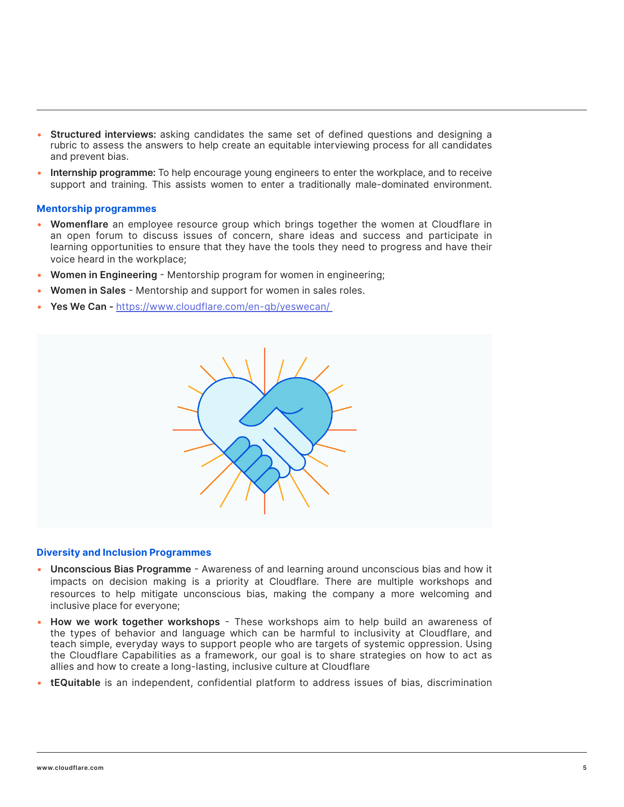• **Structured interviews:** asking candidates the same set of defined questions and designing a rubric to assess the answers to help create an equitable interviewing process for all candidates and prevent bias.

• **Internship programme:** To help encourage young engineers to enter the workplace, and to receive support and training. This assists women to enter a traditionally male-dominated environment.

#### **Mentorship programmes**

- **Womenflare** an employee resource group which brings together the women at Cloudflare in an open forum to discuss issues of concern, share ideas and success and participate in learning opportunities to ensure that they have the tools they need to progress and have their voice heard in the workplace;
- **Women in Engineering** Mentorship program for women in engineering;
- **Women in Sales** Mentorship and support for women in sales roles.
- **Yes We Can** [https://www.cloudflare.com/en-gb/yeswecan/](https://www.cloudflare.com/en-gb/yeswecan/ )



#### **Diversity and Inclusion Programmes**

- **Unconscious Bias Programme** Awareness of and learning around unconscious bias and how it impacts on decision making is a priority at Cloudflare. There are multiple workshops and resources to help mitigate unconscious bias, making the company a more welcoming and inclusive place for everyone;
- **How we work together workshops** These workshops aim to help build an awareness of the types of behavior and language which can be harmful to inclusivity at Cloudflare, and teach simple, everyday ways to support people who are targets of systemic oppression. Using the Cloudflare Capabilities as a framework, our goal is to share strategies on how to act as allies and how to create a long-lasting, inclusive culture at Cloudflare
- **tEQuitable** is an independent, confidential platform to address issues of bias, discrimination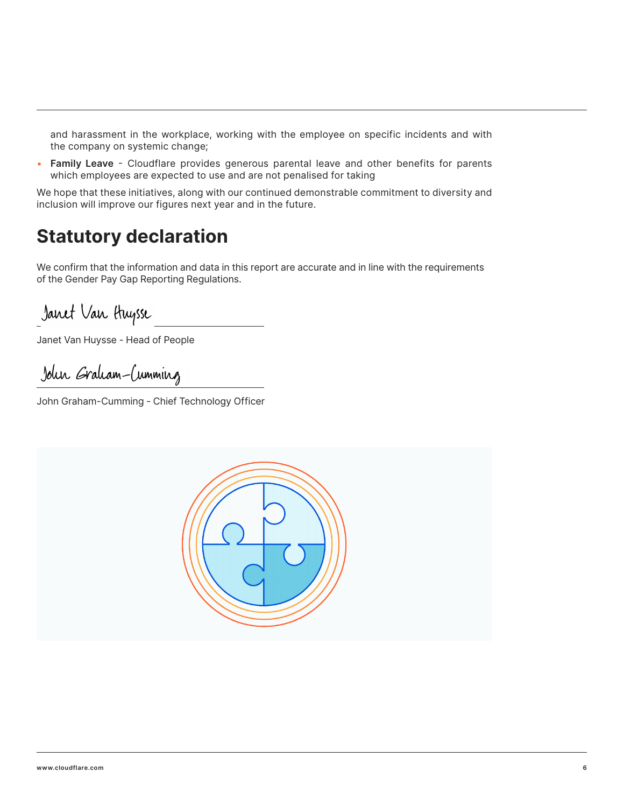and harassment in the workplace, working with the employee on specific incidents and with the company on systemic change;

• **Family Leave** - Cloudflare provides generous parental leave and other benefits for parents which employees are expected to use and are not penalised for taking

We hope that these initiatives, along with our continued demonstrable commitment to diversity and inclusion will improve our figures next year and in the future.

# **Statutory declaration**

We confirm that the information and data in this report are accurate and in line with the requirements of the Gender Pay Gap Reporting Regulations.

Janet Van Huysse

Janet Van Huysse - Head of People

John Graham-Cumming

John Graham-Cumming - Chief Technology Officer

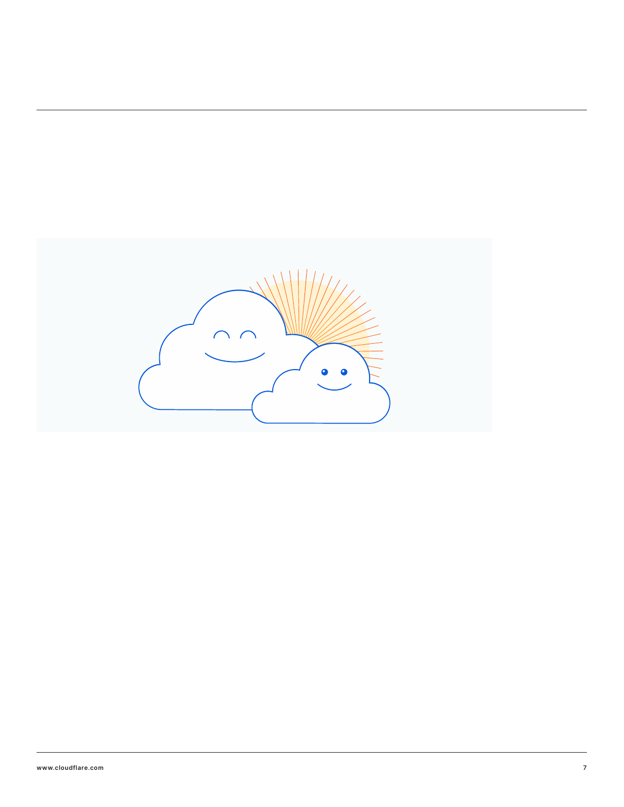